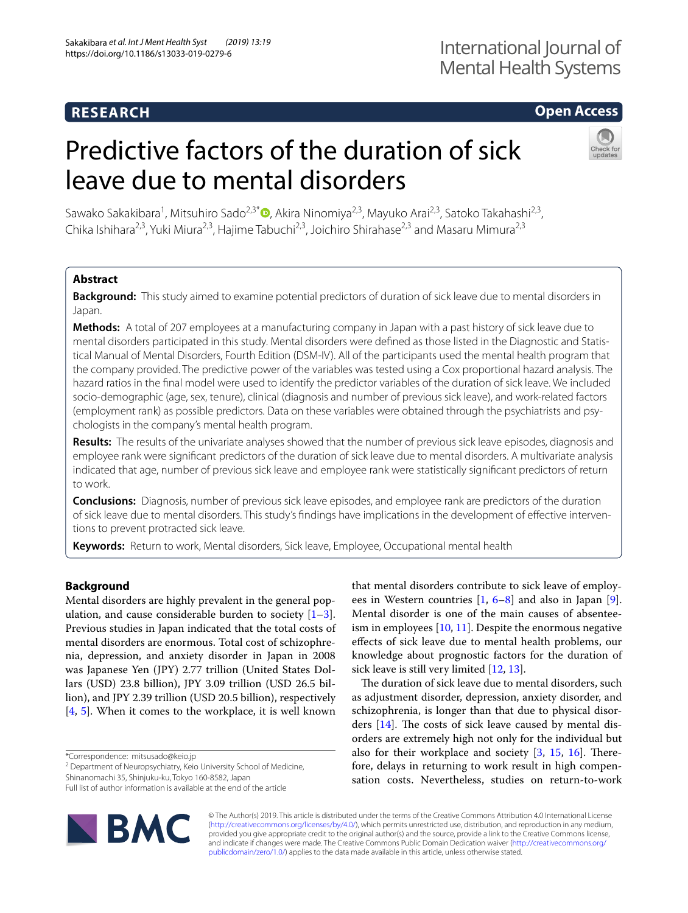# **Open Access**

# Predictive factors of the duration of sick leave due to mental disorders



Sawako Sakakibara<sup>1</sup>[,](http://orcid.org/0000-0002-2626-8123) Mitsuhiro Sado<sup>2,3\*</sup>®, Akira Ninomiya<sup>2,3</sup>, Mayuko Arai<sup>2,3</sup>, Satoko Takahashi<sup>2,3</sup>, Chika Ishihara<sup>2,3</sup>, Yuki Miura<sup>2,3</sup>, Hajime Tabuchi<sup>2,3</sup>, Joichiro Shirahase<sup>2,3</sup> and Masaru Mimura<sup>2,3</sup>

# **Abstract**

**Background:** This study aimed to examine potential predictors of duration of sick leave due to mental disorders in Japan.

**Methods:** A total of 207 employees at a manufacturing company in Japan with a past history of sick leave due to mental disorders participated in this study. Mental disorders were defned as those listed in the Diagnostic and Statistical Manual of Mental Disorders, Fourth Edition (DSM-IV). All of the participants used the mental health program that the company provided. The predictive power of the variables was tested using a Cox proportional hazard analysis. The hazard ratios in the fnal model were used to identify the predictor variables of the duration of sick leave. We included socio-demographic (age, sex, tenure), clinical (diagnosis and number of previous sick leave), and work-related factors (employment rank) as possible predictors. Data on these variables were obtained through the psychiatrists and psychologists in the company's mental health program.

**Results:** The results of the univariate analyses showed that the number of previous sick leave episodes, diagnosis and employee rank were signifcant predictors of the duration of sick leave due to mental disorders. A multivariate analysis indicated that age, number of previous sick leave and employee rank were statistically signifcant predictors of return to work.

**Conclusions:** Diagnosis, number of previous sick leave episodes, and employee rank are predictors of the duration of sick leave due to mental disorders. This study's fndings have implications in the development of efective interventions to prevent protracted sick leave.

**Keywords:** Return to work, Mental disorders, Sick leave, Employee, Occupational mental health

## **Background**

Mental disorders are highly prevalent in the general population, and cause considerable burden to society  $[1-3]$  $[1-3]$ . Previous studies in Japan indicated that the total costs of mental disorders are enormous. Total cost of schizophrenia, depression, and anxiety disorder in Japan in 2008 was Japanese Yen (JPY) 2.77 trillion (United States Dollars (USD) 23.8 billion), JPY 3.09 trillion (USD 26.5 billion), and JPY 2.39 trillion (USD 20.5 billion), respectively [[4,](#page-6-2) [5\]](#page-6-3). When it comes to the workplace, it is well known

\*Correspondence: mitsusado@keio.jp

<sup>2</sup> Department of Neuropsychiatry, Keio University School of Medicine, Shinanomachi 35, Shinjuku-ku, Tokyo 160-8582, Japan

Full list of author information is available at the end of the article



that mental disorders contribute to sick leave of employees in Western countries [[1,](#page-6-0) [6](#page-6-4)[–8](#page-6-5)] and also in Japan [\[9](#page-6-6)]. Mental disorder is one of the main causes of absenteeism in employees  $[10, 11]$  $[10, 11]$  $[10, 11]$ . Despite the enormous negative efects of sick leave due to mental health problems, our knowledge about prognostic factors for the duration of sick leave is still very limited [[12,](#page-6-9) [13](#page-6-10)].

The duration of sick leave due to mental disorders, such as adjustment disorder, depression, anxiety disorder, and schizophrenia, is longer than that due to physical disorders  $[14]$  $[14]$ . The costs of sick leave caused by mental disorders are extremely high not only for the individual but also for their workplace and society  $[3, 15, 16]$  $[3, 15, 16]$  $[3, 15, 16]$  $[3, 15, 16]$  $[3, 15, 16]$  $[3, 15, 16]$ . Therefore, delays in returning to work result in high compensation costs. Nevertheless, studies on return-to-work

© The Author(s) 2019. This article is distributed under the terms of the Creative Commons Attribution 4.0 International License [\(http://creativecommons.org/licenses/by/4.0/\)](http://creativecommons.org/licenses/by/4.0/), which permits unrestricted use, distribution, and reproduction in any medium, provided you give appropriate credit to the original author(s) and the source, provide a link to the Creative Commons license, and indicate if changes were made. The Creative Commons Public Domain Dedication waiver ([http://creativecommons.org/](http://creativecommons.org/publicdomain/zero/1.0/) [publicdomain/zero/1.0/](http://creativecommons.org/publicdomain/zero/1.0/)) applies to the data made available in this article, unless otherwise stated.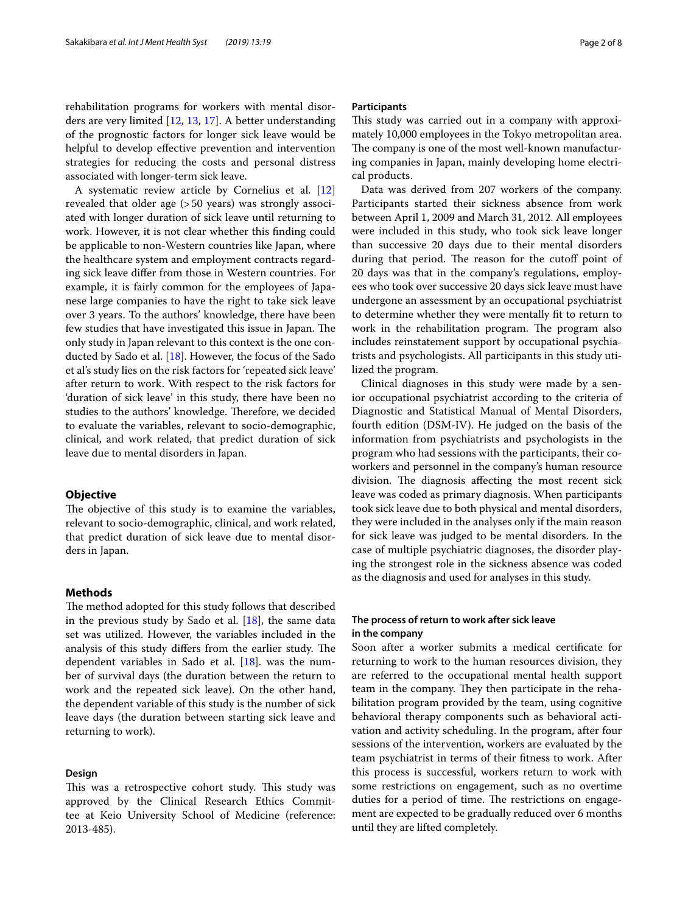A systematic review article by Cornelius et al. [[12](#page-6-9)] revealed that older age (>50 years) was strongly associated with longer duration of sick leave until returning to work. However, it is not clear whether this fnding could be applicable to non-Western countries like Japan, where the healthcare system and employment contracts regarding sick leave difer from those in Western countries. For example, it is fairly common for the employees of Japanese large companies to have the right to take sick leave over 3 years. To the authors' knowledge, there have been few studies that have investigated this issue in Japan. The only study in Japan relevant to this context is the one conducted by Sado et al. [[18](#page-7-4)]. However, the focus of the Sado et al's study lies on the risk factors for 'repeated sick leave' after return to work. With respect to the risk factors for 'duration of sick leave' in this study, there have been no studies to the authors' knowledge. Therefore, we decided to evaluate the variables, relevant to socio-demographic, clinical, and work related, that predict duration of sick leave due to mental disorders in Japan.

## **Objective**

The objective of this study is to examine the variables, relevant to socio-demographic, clinical, and work related, that predict duration of sick leave due to mental disorders in Japan.

## **Methods**

The method adopted for this study follows that described in the previous study by Sado et al.  $[18]$  $[18]$ , the same data set was utilized. However, the variables included in the analysis of this study differs from the earlier study. The dependent variables in Sado et al. [\[18\]](#page-7-4). was the number of survival days (the duration between the return to work and the repeated sick leave). On the other hand, the dependent variable of this study is the number of sick leave days (the duration between starting sick leave and returning to work).

#### **Design**

This was a retrospective cohort study. This study was approved by the Clinical Research Ethics Committee at Keio University School of Medicine (reference: 2013-485).

#### **Participants**

This study was carried out in a company with approximately 10,000 employees in the Tokyo metropolitan area. The company is one of the most well-known manufacturing companies in Japan, mainly developing home electrical products.

Data was derived from 207 workers of the company. Participants started their sickness absence from work between April 1, 2009 and March 31, 2012. All employees were included in this study, who took sick leave longer than successive 20 days due to their mental disorders during that period. The reason for the cutoff point of 20 days was that in the company's regulations, employees who took over successive 20 days sick leave must have undergone an assessment by an occupational psychiatrist to determine whether they were mentally ft to return to work in the rehabilitation program. The program also includes reinstatement support by occupational psychiatrists and psychologists. All participants in this study utilized the program.

Clinical diagnoses in this study were made by a senior occupational psychiatrist according to the criteria of Diagnostic and Statistical Manual of Mental Disorders, fourth edition (DSM-IV). He judged on the basis of the information from psychiatrists and psychologists in the program who had sessions with the participants, their coworkers and personnel in the company's human resource division. The diagnosis affecting the most recent sick leave was coded as primary diagnosis. When participants took sick leave due to both physical and mental disorders, they were included in the analyses only if the main reason for sick leave was judged to be mental disorders. In the case of multiple psychiatric diagnoses, the disorder playing the strongest role in the sickness absence was coded as the diagnosis and used for analyses in this study.

## **The process of return to work after sick leave in the company**

Soon after a worker submits a medical certifcate for returning to work to the human resources division, they are referred to the occupational mental health support team in the company. They then participate in the rehabilitation program provided by the team, using cognitive behavioral therapy components such as behavioral activation and activity scheduling. In the program, after four sessions of the intervention, workers are evaluated by the team psychiatrist in terms of their ftness to work. After this process is successful, workers return to work with some restrictions on engagement, such as no overtime duties for a period of time. The restrictions on engagement are expected to be gradually reduced over 6 months until they are lifted completely.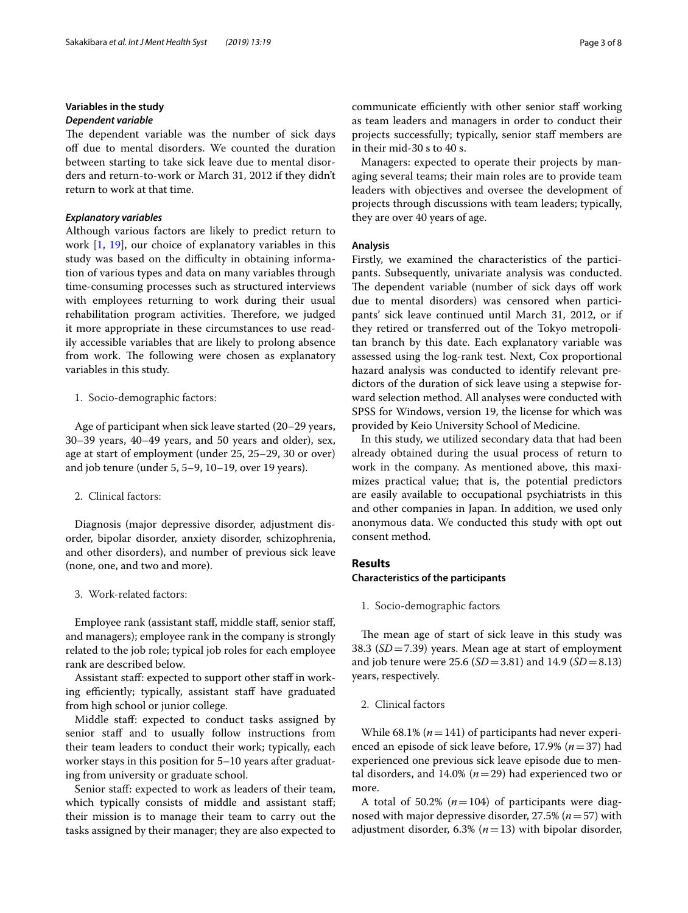# **Variables in the study**

## *Dependent variable*

The dependent variable was the number of sick days off due to mental disorders. We counted the duration between starting to take sick leave due to mental disorders and return-to-work or March 31, 2012 if they didn't return to work at that time.

## *Explanatory variables*

Although various factors are likely to predict return to work [\[1,](#page-6-0) [19\]](#page-7-5), our choice of explanatory variables in this study was based on the difficulty in obtaining information of various types and data on many variables through time-consuming processes such as structured interviews with employees returning to work during their usual rehabilitation program activities. Therefore, we judged it more appropriate in these circumstances to use readily accessible variables that are likely to prolong absence from work. The following were chosen as explanatory variables in this study.

## 1. Socio-demographic factors:

Age of participant when sick leave started (20–29 years, 30–39 years, 40–49 years, and 50 years and older), sex, age at start of employment (under 25, 25–29, 30 or over) and job tenure (under 5, 5–9, 10–19, over 19 years).

## 2. Clinical factors:

Diagnosis (major depressive disorder, adjustment disorder, bipolar disorder, anxiety disorder, schizophrenia, and other disorders), and number of previous sick leave (none, one, and two and more).

## 3. Work-related factors:

Employee rank (assistant staf, middle staf, senior staf, and managers); employee rank in the company is strongly related to the job role; typical job roles for each employee rank are described below.

Assistant staf: expected to support other staf in working efficiently; typically, assistant staff have graduated from high school or junior college.

Middle staf: expected to conduct tasks assigned by senior staff and to usually follow instructions from their team leaders to conduct their work; typically, each worker stays in this position for 5–10 years after graduating from university or graduate school.

Senior staf: expected to work as leaders of their team, which typically consists of middle and assistant staf; their mission is to manage their team to carry out the tasks assigned by their manager; they are also expected to communicate efficiently with other senior staff working as team leaders and managers in order to conduct their projects successfully; typically, senior staf members are in their mid-30 s to 40 s.

Managers: expected to operate their projects by managing several teams; their main roles are to provide team leaders with objectives and oversee the development of projects through discussions with team leaders; typically, they are over 40 years of age.

## **Analysis**

Firstly, we examined the characteristics of the participants. Subsequently, univariate analysis was conducted. The dependent variable (number of sick days off work due to mental disorders) was censored when participants' sick leave continued until March 31, 2012, or if they retired or transferred out of the Tokyo metropolitan branch by this date. Each explanatory variable was assessed using the log-rank test. Next, Cox proportional hazard analysis was conducted to identify relevant predictors of the duration of sick leave using a stepwise forward selection method. All analyses were conducted with SPSS for Windows, version 19, the license for which was provided by Keio University School of Medicine.

In this study, we utilized secondary data that had been already obtained during the usual process of return to work in the company. As mentioned above, this maximizes practical value; that is, the potential predictors are easily available to occupational psychiatrists in this and other companies in Japan. In addition, we used only anonymous data. We conducted this study with opt out consent method.

## **Results**

## **Characteristics of the participants**

#### 1. Socio-demographic factors

The mean age of start of sick leave in this study was 38.3 (*SD*=7.39) years. Mean age at start of employment and job tenure were 25.6 (*SD*=3.81) and 14.9 (*SD*=8.13) years, respectively.

2. Clinical factors

While 68.1%  $(n=141)$  of participants had never experienced an episode of sick leave before, 17.9% (*n*=37) had experienced one previous sick leave episode due to mental disorders, and 14.0% (*n*=29) had experienced two or more.

A total of 50.2%  $(n=104)$  of participants were diagnosed with major depressive disorder, 27.5% (*n*=57) with adjustment disorder, 6.3% (*n*=13) with bipolar disorder,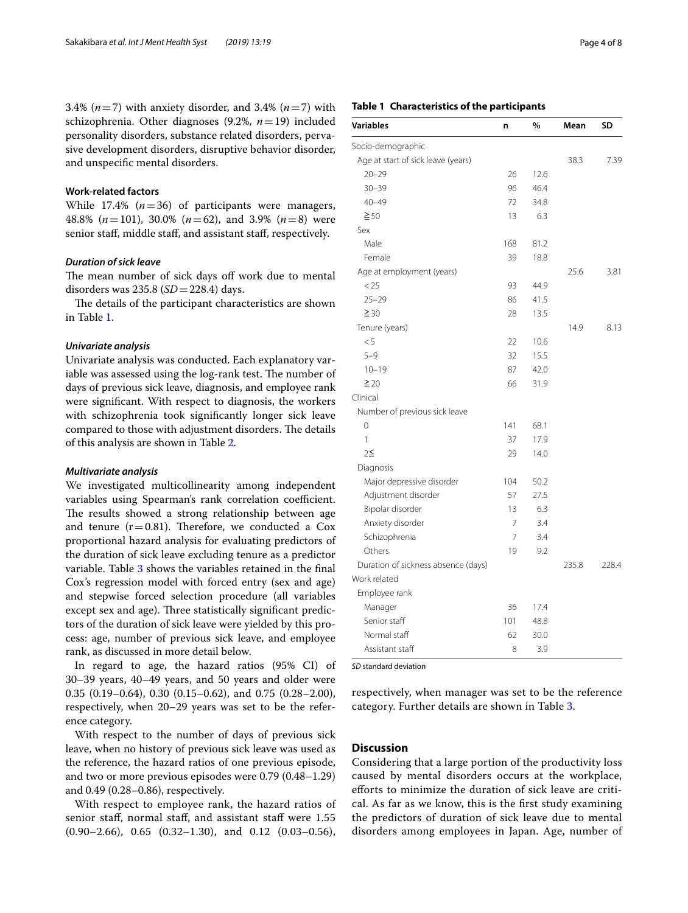3.4% ( $n=7$ ) with anxiety disorder, and 3.4% ( $n=7$ ) with schizophrenia. Other diagnoses (9.2%, *n*=19) included personality disorders, substance related disorders, pervasive development disorders, disruptive behavior disorder, and unspecifc mental disorders.

## **Work‑related factors**

While  $17.4\%$  ( $n=36$ ) of participants were managers, 48.8% (*n*=101), 30.0% (*n*=62), and 3.9% (*n*=8) were senior staf, middle staf, and assistant staf, respectively.

#### *Duration of sick leave*

The mean number of sick days off work due to mental disorders was 235.8 (*SD*=228.4) days.

The details of the participant characteristics are shown in Table [1](#page-3-0).

#### *Univariate analysis*

Univariate analysis was conducted. Each explanatory variable was assessed using the log-rank test. The number of days of previous sick leave, diagnosis, and employee rank were signifcant. With respect to diagnosis, the workers with schizophrenia took signifcantly longer sick leave compared to those with adjustment disorders. The details of this analysis are shown in Table [2](#page-4-0).

## *Multivariate analysis*

We investigated multicollinearity among independent variables using Spearman's rank correlation coefficient. The results showed a strong relationship between age and tenure  $(r=0.81)$ . Therefore, we conducted a Cox proportional hazard analysis for evaluating predictors of the duration of sick leave excluding tenure as a predictor variable. Table [3](#page-5-0) shows the variables retained in the fnal Cox's regression model with forced entry (sex and age) and stepwise forced selection procedure (all variables except sex and age). Three statistically significant predictors of the duration of sick leave were yielded by this process: age, number of previous sick leave, and employee rank, as discussed in more detail below.

In regard to age, the hazard ratios (95% CI) of 30–39 years, 40–49 years, and 50 years and older were 0.35 (0.19–0.64), 0.30 (0.15–0.62), and 0.75 (0.28–2.00), respectively, when 20–29 years was set to be the reference category.

With respect to the number of days of previous sick leave, when no history of previous sick leave was used as the reference, the hazard ratios of one previous episode, and two or more previous episodes were 0.79 (0.48–1.29) and 0.49 (0.28–0.86), respectively.

With respect to employee rank, the hazard ratios of senior staff, normal staff, and assistant staff were 1.55 (0.90–2.66), 0.65 (0.32–1.30), and 0.12 (0.03–0.56),

## <span id="page-3-0"></span>**Table 1 Characteristics of the participants**

| <b>Variables</b>                    | n   | $\%$ | Mean  | <b>SD</b> |
|-------------------------------------|-----|------|-------|-----------|
| Socio-demographic                   |     |      |       |           |
| Age at start of sick leave (years)  |     |      | 38.3  | 7.39      |
| $20 - 29$                           | 26  | 12.6 |       |           |
| $30 - 39$                           | 96  | 46.4 |       |           |
| $40 - 49$                           | 72  | 34.8 |       |           |
| $\geq 50$                           | 13  | 6.3  |       |           |
| Sex                                 |     |      |       |           |
| Male                                | 168 | 81.2 |       |           |
| Female                              | 39  | 18.8 |       |           |
| Age at employment (years)           |     |      | 25.6  | 3.81      |
| < 25                                | 93  | 44.9 |       |           |
| $25 - 29$                           | 86  | 41.5 |       |           |
| $\geq$ 30                           | 28  | 13.5 |       |           |
| Tenure (years)                      |     |      | 14.9  | 8.13      |
| < 5                                 | 22  | 10.6 |       |           |
| $5 - 9$                             | 32  | 15.5 |       |           |
| $10 - 19$                           | 87  | 42.0 |       |           |
| $\geq 20$                           | 66  | 31.9 |       |           |
| Clinical                            |     |      |       |           |
| Number of previous sick leave       |     |      |       |           |
| $\overline{0}$                      | 141 | 68.1 |       |           |
| 1                                   | 37  | 17.9 |       |           |
| $2\leq$                             | 29  | 14.0 |       |           |
| Diagnosis                           |     |      |       |           |
| Major depressive disorder           | 104 | 50.2 |       |           |
| Adjustment disorder                 | 57  | 27.5 |       |           |
| Bipolar disorder                    | 13  | 6.3  |       |           |
| Anxiety disorder                    | 7   | 3.4  |       |           |
| Schizophrenia                       | 7   | 3.4  |       |           |
| Others                              | 19  | 9.2  |       |           |
| Duration of sickness absence (days) |     |      | 235.8 | 228.4     |
| Work related                        |     |      |       |           |
| Employee rank                       |     |      |       |           |
| Manager                             | 36  | 17.4 |       |           |
| Senior staff                        | 101 | 48.8 |       |           |
| Normal staff                        | 62  | 30.0 |       |           |
| Assistant staff                     | 8   | 3.9  |       |           |

*SD* standard deviation

respectively, when manager was set to be the reference category. Further details are shown in Table [3.](#page-5-0)

## **Discussion**

Considering that a large portion of the productivity loss caused by mental disorders occurs at the workplace, eforts to minimize the duration of sick leave are critical. As far as we know, this is the frst study examining the predictors of duration of sick leave due to mental disorders among employees in Japan. Age, number of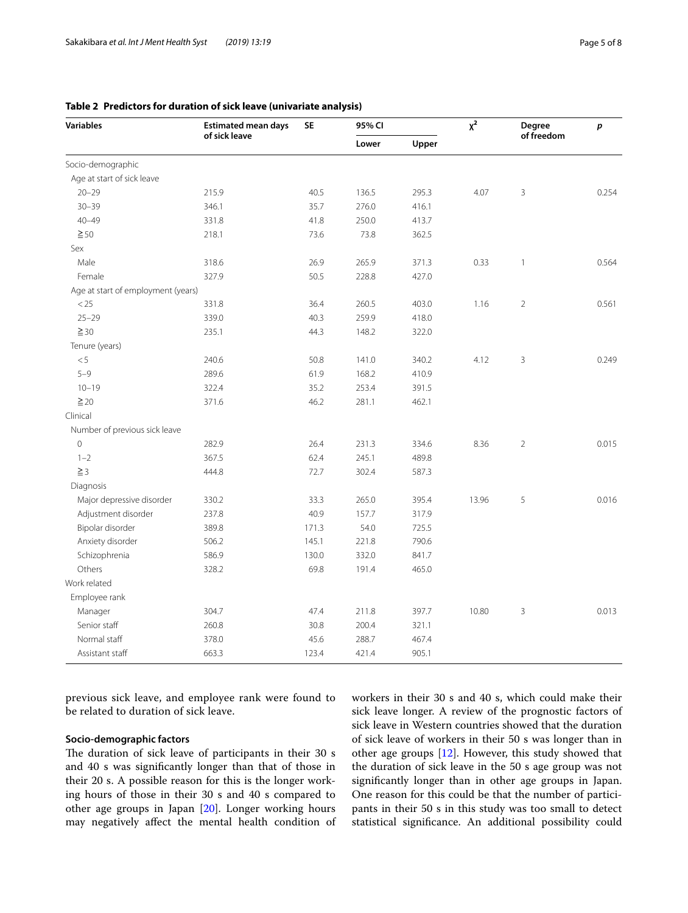| <b>Variables</b>                   | <b>Estimated mean days</b> | SE    | 95% CI |       | $\chi^2$ | Degree         | p     |
|------------------------------------|----------------------------|-------|--------|-------|----------|----------------|-------|
|                                    | of sick leave              |       | Lower  | Upper |          | of freedom     |       |
| Socio-demographic                  |                            |       |        |       |          |                |       |
| Age at start of sick leave         |                            |       |        |       |          |                |       |
| $20 - 29$                          | 215.9                      | 40.5  | 136.5  | 295.3 | 4.07     | 3              | 0.254 |
| $30 - 39$                          | 346.1                      | 35.7  | 276.0  | 416.1 |          |                |       |
| $40 - 49$                          | 331.8                      | 41.8  | 250.0  | 413.7 |          |                |       |
| $\geq 50$                          | 218.1                      | 73.6  | 73.8   | 362.5 |          |                |       |
| Sex                                |                            |       |        |       |          |                |       |
| Male                               | 318.6                      | 26.9  | 265.9  | 371.3 | 0.33     | $\mathbf{1}$   | 0.564 |
| Female                             | 327.9                      | 50.5  | 228.8  | 427.0 |          |                |       |
| Age at start of employment (years) |                            |       |        |       |          |                |       |
| $<25\,$                            | 331.8                      | 36.4  | 260.5  | 403.0 | 1.16     | $\overline{2}$ | 0.561 |
| $25 - 29$                          | 339.0                      | 40.3  | 259.9  | 418.0 |          |                |       |
| $\geq 30$                          | 235.1                      | 44.3  | 148.2  | 322.0 |          |                |       |
| Tenure (years)                     |                            |       |        |       |          |                |       |
| $< 5\,$                            | 240.6                      | 50.8  | 141.0  | 340.2 | 4.12     | 3              | 0.249 |
| $5 - 9$                            | 289.6                      | 61.9  | 168.2  | 410.9 |          |                |       |
| $10 - 19$                          | 322.4                      | 35.2  | 253.4  | 391.5 |          |                |       |
| $\geq 20$                          | 371.6                      | 46.2  | 281.1  | 462.1 |          |                |       |
| Clinical                           |                            |       |        |       |          |                |       |
| Number of previous sick leave      |                            |       |        |       |          |                |       |
| $\mathbf 0$                        | 282.9                      | 26.4  | 231.3  | 334.6 | 8.36     | $\overline{2}$ | 0.015 |
| $1 - 2$                            | 367.5                      | 62.4  | 245.1  | 489.8 |          |                |       |
| $\geq$ 3                           | 444.8                      | 72.7  | 302.4  | 587.3 |          |                |       |
| Diagnosis                          |                            |       |        |       |          |                |       |
| Major depressive disorder          | 330.2                      | 33.3  | 265.0  | 395.4 | 13.96    | 5              | 0.016 |
| Adjustment disorder                | 237.8                      | 40.9  | 157.7  | 317.9 |          |                |       |
| Bipolar disorder                   | 389.8                      | 171.3 | 54.0   | 725.5 |          |                |       |
| Anxiety disorder                   | 506.2                      | 145.1 | 221.8  | 790.6 |          |                |       |
| Schizophrenia                      | 586.9                      | 130.0 | 332.0  | 841.7 |          |                |       |
| Others                             | 328.2                      | 69.8  | 191.4  | 465.0 |          |                |       |
| Work related                       |                            |       |        |       |          |                |       |
| Employee rank                      |                            |       |        |       |          |                |       |
| Manager                            | 304.7                      | 47.4  | 211.8  | 397.7 | 10.80    | 3              | 0.013 |
| Senior staff                       | 260.8                      | 30.8  | 200.4  | 321.1 |          |                |       |
| Normal staff                       | 378.0                      | 45.6  | 288.7  | 467.4 |          |                |       |
| Assistant staff                    | 663.3                      | 123.4 | 421.4  | 905.1 |          |                |       |

## <span id="page-4-0"></span>**Table 2 Predictors for duration of sick leave (univariate analysis)**

previous sick leave, and employee rank were found to be related to duration of sick leave.

## **Socio‑demographic factors**

The duration of sick leave of participants in their 30 s and 40 s was signifcantly longer than that of those in their 20 s. A possible reason for this is the longer working hours of those in their 30 s and 40 s compared to other age groups in Japan [\[20\]](#page-7-6). Longer working hours may negatively afect the mental health condition of workers in their 30 s and 40 s, which could make their sick leave longer. A review of the prognostic factors of sick leave in Western countries showed that the duration of sick leave of workers in their 50 s was longer than in other age groups [\[12](#page-6-9)]. However, this study showed that the duration of sick leave in the 50 s age group was not signifcantly longer than in other age groups in Japan. One reason for this could be that the number of participants in their 50 s in this study was too small to detect statistical signifcance. An additional possibility could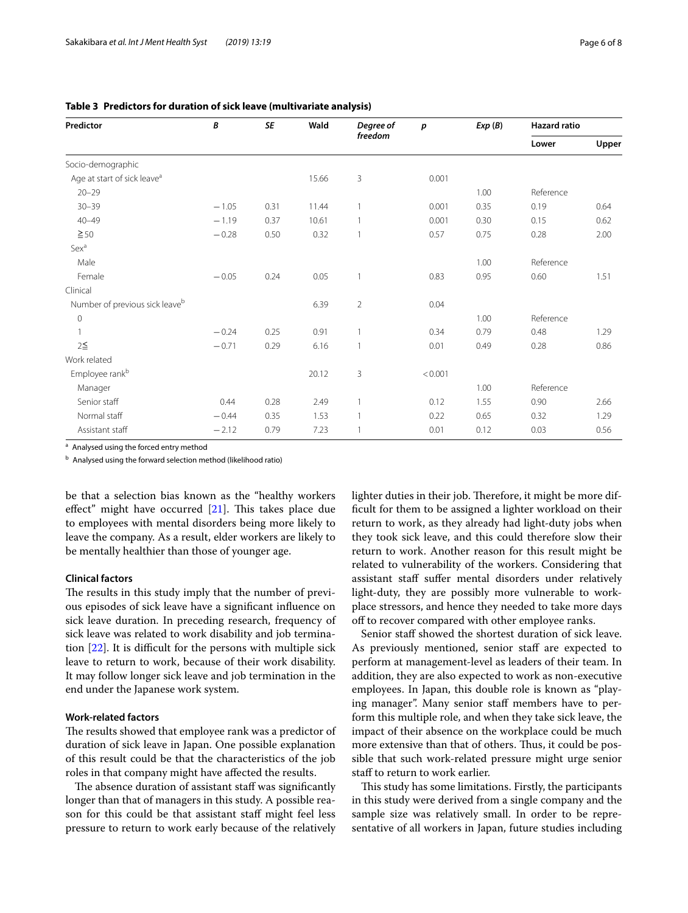| Predictor                               | B       | SE   | Wald  | Degree of<br>freedom | p       | Exp(B) | <b>Hazard ratio</b> |       |
|-----------------------------------------|---------|------|-------|----------------------|---------|--------|---------------------|-------|
|                                         |         |      |       |                      |         |        | Lower               | Upper |
| Socio-demographic                       |         |      |       |                      |         |        |                     |       |
| Age at start of sick leave <sup>a</sup> |         |      | 15.66 | 3                    | 0.001   |        |                     |       |
| $20 - 29$                               |         |      |       |                      |         | 1.00   | Reference           |       |
| $30 - 39$                               | $-1.05$ | 0.31 | 11.44 | 1                    | 0.001   | 0.35   | 0.19                | 0.64  |
| $40 - 49$                               | $-1.19$ | 0.37 | 10.61 | $\mathbf{1}$         | 0.001   | 0.30   | 0.15                | 0.62  |
| $\geq 50$                               | $-0.28$ | 0.50 | 0.32  | 1                    | 0.57    | 0.75   | 0.28                | 2.00  |
| Sex <sup>a</sup>                        |         |      |       |                      |         |        |                     |       |
| Male                                    |         |      |       |                      |         | 1.00   | Reference           |       |
| Female                                  | $-0.05$ | 0.24 | 0.05  | $\mathbf{1}$         | 0.83    | 0.95   | 0.60                | 1.51  |
| Clinical                                |         |      |       |                      |         |        |                     |       |
| Number of previous sick leaveb          |         |      | 6.39  | $\overline{2}$       | 0.04    |        |                     |       |
| $\mathbf 0$                             |         |      |       |                      |         | 1.00   | Reference           |       |
| $\mathbf{1}$                            | $-0.24$ | 0.25 | 0.91  | $\mathbf{1}$         | 0.34    | 0.79   | 0.48                | 1.29  |
| $2\leq$                                 | $-0.71$ | 0.29 | 6.16  | $\mathbf{1}$         | 0.01    | 0.49   | 0.28                | 0.86  |
| Work related                            |         |      |       |                      |         |        |                     |       |
| Employee rank <sup>b</sup>              |         |      | 20.12 | 3                    | < 0.001 |        |                     |       |
| Manager                                 |         |      |       |                      |         | 1.00   | Reference           |       |
| Senior staff                            | 0.44    | 0.28 | 2.49  | 1                    | 0.12    | 1.55   | 0.90                | 2.66  |
| Normal staff                            | $-0.44$ | 0.35 | 1.53  | 1                    | 0.22    | 0.65   | 0.32                | 1.29  |
| Assistant staff                         | $-2.12$ | 0.79 | 7.23  | $\mathbf{1}$         | 0.01    | 0.12   | 0.03                | 0.56  |

<span id="page-5-0"></span>**Table 3 Predictors for duration of sick leave (multivariate analysis)**

<sup>a</sup> Analysed using the forced entry method

<sup>b</sup> Analysed using the forward selection method (likelihood ratio)

be that a selection bias known as the "healthy workers effect" might have occurred  $[21]$  $[21]$ . This takes place due to employees with mental disorders being more likely to leave the company. As a result, elder workers are likely to be mentally healthier than those of younger age.

## **Clinical factors**

The results in this study imply that the number of previous episodes of sick leave have a signifcant infuence on sick leave duration. In preceding research, frequency of sick leave was related to work disability and job termination  $[22]$  $[22]$ . It is difficult for the persons with multiple sick leave to return to work, because of their work disability. It may follow longer sick leave and job termination in the end under the Japanese work system.

## **Work‑related factors**

The results showed that employee rank was a predictor of duration of sick leave in Japan. One possible explanation of this result could be that the characteristics of the job roles in that company might have afected the results.

The absence duration of assistant staff was significantly longer than that of managers in this study. A possible reason for this could be that assistant staff might feel less pressure to return to work early because of the relatively

lighter duties in their job. Therefore, it might be more difficult for them to be assigned a lighter workload on their return to work, as they already had light-duty jobs when they took sick leave, and this could therefore slow their return to work. Another reason for this result might be related to vulnerability of the workers. Considering that assistant staff suffer mental disorders under relatively light-duty, they are possibly more vulnerable to workplace stressors, and hence they needed to take more days off to recover compared with other employee ranks.

Senior staff showed the shortest duration of sick leave. As previously mentioned, senior staff are expected to perform at management-level as leaders of their team. In addition, they are also expected to work as non-executive employees. In Japan, this double role is known as "playing manager". Many senior staff members have to perform this multiple role, and when they take sick leave, the impact of their absence on the workplace could be much more extensive than that of others. Thus, it could be possible that such work-related pressure might urge senior staff to return to work earlier.

This study has some limitations. Firstly, the participants in this study were derived from a single company and the sample size was relatively small. In order to be representative of all workers in Japan, future studies including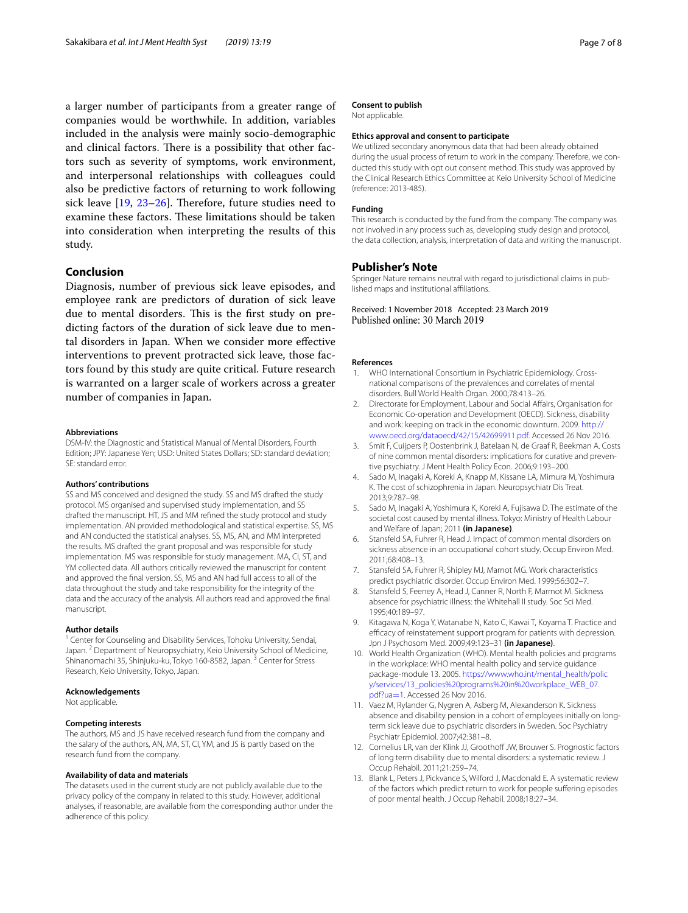a larger number of participants from a greater range of companies would be worthwhile. In addition, variables included in the analysis were mainly socio-demographic and clinical factors. There is a possibility that other factors such as severity of symptoms, work environment, and interpersonal relationships with colleagues could also be predictive factors of returning to work following sick leave  $[19, 23-26]$  $[19, 23-26]$  $[19, 23-26]$  $[19, 23-26]$  $[19, 23-26]$ . Therefore, future studies need to examine these factors. These limitations should be taken into consideration when interpreting the results of this study.

## **Conclusion**

Diagnosis, number of previous sick leave episodes, and employee rank are predictors of duration of sick leave due to mental disorders. This is the first study on predicting factors of the duration of sick leave due to mental disorders in Japan. When we consider more efective interventions to prevent protracted sick leave, those factors found by this study are quite critical. Future research is warranted on a larger scale of workers across a greater number of companies in Japan.

#### **Abbreviations**

DSM-IV: the Diagnostic and Statistical Manual of Mental Disorders, Fourth Edition; JPY: Japanese Yen; USD: United States Dollars; SD: standard deviation; SE: standard error.

#### **Authors' contributions**

SS and MS conceived and designed the study. SS and MS drafted the study protocol. MS organised and supervised study implementation, and SS drafted the manuscript. HT, JS and MM refned the study protocol and study implementation. AN provided methodological and statistical expertise. SS, MS and AN conducted the statistical analyses. SS, MS, AN, and MM interpreted the results. MS drafted the grant proposal and was responsible for study implementation. MS was responsible for study management. MA, CI, ST, and YM collected data. All authors critically reviewed the manuscript for content and approved the fnal version. SS, MS and AN had full access to all of the data throughout the study and take responsibility for the integrity of the data and the accuracy of the analysis. All authors read and approved the fnal manuscript.

#### **Author details**

<sup>1</sup> Center for Counseling and Disability Services, Tohoku University, Sendai, Japan. <sup>2</sup> Department of Neuropsychiatry, Keio University School of Medicine, Shinanomachi 35, Shinjuku-ku, Tokyo 160-8582, Japan.<sup>3</sup> Center for Stress Research, Keio University, Tokyo, Japan.

#### **Acknowledgements**

Not applicable.

#### **Competing interests**

The authors, MS and JS have received research fund from the company and the salary of the authors, AN, MA, ST, CI, YM, and JS is partly based on the research fund from the company.

#### **Availability of data and materials**

The datasets used in the current study are not publicly available due to the privacy policy of the company in related to this study. However, additional analyses, if reasonable, are available from the corresponding author under the adherence of this policy.

#### **Consent to publish**

Not applicable.

#### **Ethics approval and consent to participate**

We utilized secondary anonymous data that had been already obtained during the usual process of return to work in the company. Therefore, we conducted this study with opt out consent method. This study was approved by the Clinical Research Ethics Committee at Keio University School of Medicine (reference: 2013-485).

#### **Funding**

This research is conducted by the fund from the company. The company was not involved in any process such as, developing study design and protocol, the data collection, analysis, interpretation of data and writing the manuscript.

#### **Publisher's Note**

Springer Nature remains neutral with regard to jurisdictional claims in published maps and institutional afliations.

Received: 1 November 2018 Accepted: 23 March 2019<br>Published online: 30 March 2019

#### **References**

- <span id="page-6-0"></span>1. WHO International Consortium in Psychiatric Epidemiology. Crossnational comparisons of the prevalences and correlates of mental disorders. Bull World Health Organ. 2000;78:413–26.
- 2. Directorate for Employment, Labour and Social Affairs, Organisation for Economic Co-operation and Development (OECD). Sickness, disability and work: keeping on track in the economic downturn. 2009. [http://](http://www.oecd.org/dataoecd/42/15/42699911.pdf) [www.oecd.org/dataoecd/42/15/42699911.pdf.](http://www.oecd.org/dataoecd/42/15/42699911.pdf) Accessed 26 Nov 2016.
- <span id="page-6-1"></span>3. Smit F, Cuijpers P, Oostenbrink J, Batelaan N, de Graaf R, Beekman A. Costs of nine common mental disorders: implications for curative and preventive psychiatry. J Ment Health Policy Econ. 2006;9:193–200.
- <span id="page-6-2"></span>4. Sado M, Inagaki A, Koreki A, Knapp M, Kissane LA, Mimura M, Yoshimura K. The cost of schizophrenia in Japan. Neuropsychiatr Dis Treat. 2013;9:787–98.
- <span id="page-6-3"></span>5. Sado M, Inagaki A, Yoshimura K, Koreki A, Fujisawa D. The estimate of the societal cost caused by mental illness. Tokyo: Ministry of Health Labour and Welfare of Japan; 2011 **(in Japanese)**.
- <span id="page-6-4"></span>6. Stansfeld SA, Fuhrer R, Head J. Impact of common mental disorders on sickness absence in an occupational cohort study. Occup Environ Med. 2011;68:408–13.
- 7. Stansfeld SA, Fuhrer R, Shipley MJ, Marnot MG. Work characteristics predict psychiatric disorder. Occup Environ Med. 1999;56:302–7.
- <span id="page-6-5"></span>8. Stansfeld S, Feeney A, Head J, Canner R, North F, Marmot M. Sickness absence for psychiatric illness: the Whitehall II study. Soc Sci Med. 1995;40:189–97.
- <span id="page-6-6"></span>9. Kitagawa N, Koga Y, Watanabe N, Kato C, Kawai T, Koyama T. Practice and efficacy of reinstatement support program for patients with depression. Jpn J Psychosom Med. 2009;49:123–31 **(in Japanese)**.
- <span id="page-6-7"></span>10. World Health Organization (WHO). Mental health policies and programs in the workplace: WHO mental health policy and service guidance package-module 13. 2005. [https://www.who.int/mental\\_health/polic](https://www.who.int/mental_health/policy/services/13_policies%20programs%20in%20workplace_WEB_07.pdf?ua=1) [y/services/13\\_policies%20programs%20in%20workplace\\_WEB\\_07.](https://www.who.int/mental_health/policy/services/13_policies%20programs%20in%20workplace_WEB_07.pdf?ua=1) [pdf?ua](https://www.who.int/mental_health/policy/services/13_policies%20programs%20in%20workplace_WEB_07.pdf?ua=1)=1. Accessed 26 Nov 2016.
- <span id="page-6-8"></span>11. Vaez M, Rylander G, Nygren A, Asberg M, Alexanderson K. Sickness absence and disability pension in a cohort of employees initially on longterm sick leave due to psychiatric disorders in Sweden. Soc Psychiatry Psychiatr Epidemiol. 2007;42:381–8.
- <span id="page-6-9"></span>12. Cornelius LR, van der Klink JJ, Groothoff JW, Brouwer S. Prognostic factors of long term disability due to mental disorders: a systematic review. J Occup Rehabil. 2011;21:259–74.
- <span id="page-6-10"></span>13. Blank L, Peters J, Pickvance S, Wilford J, Macdonald E. A systematic review of the factors which predict return to work for people sufering episodes of poor mental health. J Occup Rehabil. 2008;18:27–34.